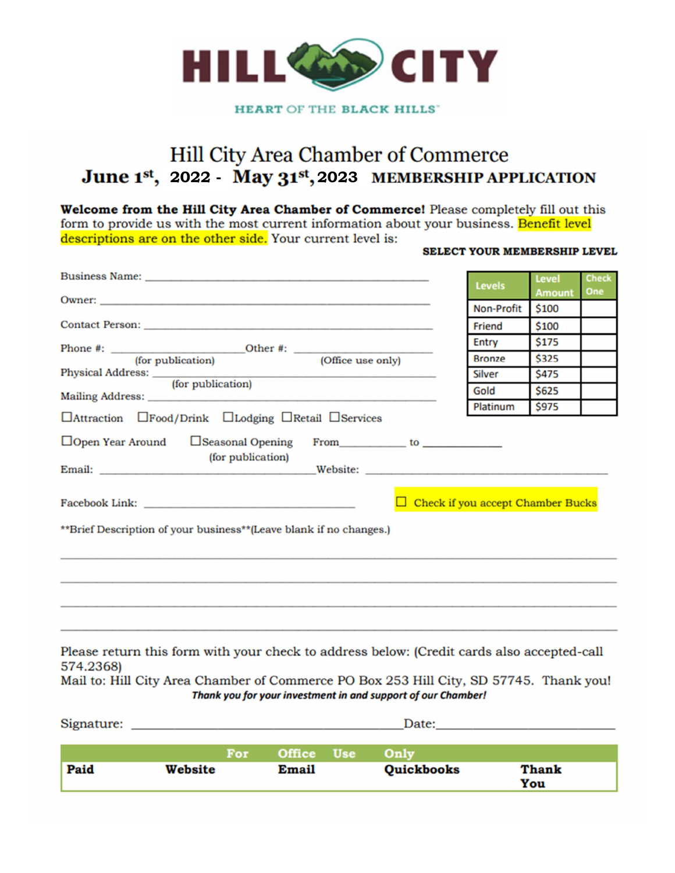

**HEART OF THE BLACK HILLS'** 

## Hill City Area Chamber of Commerce 2022 - May 31st, 2023

Welcome from the Hill City Area Chamber of Commerce! Please completely fill out this form to provide us with the most current information about your business. Benefit level descriptions are on the other side. Your current level is:

#### **SELECT YOUR MEMBERSHIP LEVEL**

|                                                                                                                                                                     | <b>Levels</b> | Level         | <b>Check</b> |
|---------------------------------------------------------------------------------------------------------------------------------------------------------------------|---------------|---------------|--------------|
|                                                                                                                                                                     |               | <b>Amount</b> | One          |
|                                                                                                                                                                     | Non-Profit    | \$100         |              |
|                                                                                                                                                                     | Friend        | \$100         |              |
|                                                                                                                                                                     | Entry         | \$175         |              |
|                                                                                                                                                                     | <b>Bronze</b> | \$325         |              |
|                                                                                                                                                                     | <b>Silver</b> | \$475         |              |
|                                                                                                                                                                     | Gold          | \$625         |              |
| □Attraction □Food/Drink □Lodging □Retail □Services                                                                                                                  | Platinum      | \$975         |              |
| (for publication)<br>$\Box$ Check if you accept Chamber Bucks                                                                                                       |               |               |              |
| **Brief Description of your business**(Leave blank if no changes.)                                                                                                  |               |               |              |
| $M_{\odot}$ and $M_{\odot}$ and $M_{\odot}$ are set of the set of the set of the set of $M_{\odot}$ and $M_{\odot}$ and $M_{\odot}$ and $M_{\odot}$ and $M_{\odot}$ |               |               |              |

Please return this form with your check to address below: (Credit cards also accepted-call 574.2368)

Mail to: Hill City Area Chamber of Commerce PO Box 253 Hill City, SD 57745. Thank you! Thank you for your investment in and support of our Chamber!

Signature: Date: For : Office Use Only Paid **Website Email Quickbooks Thank** You